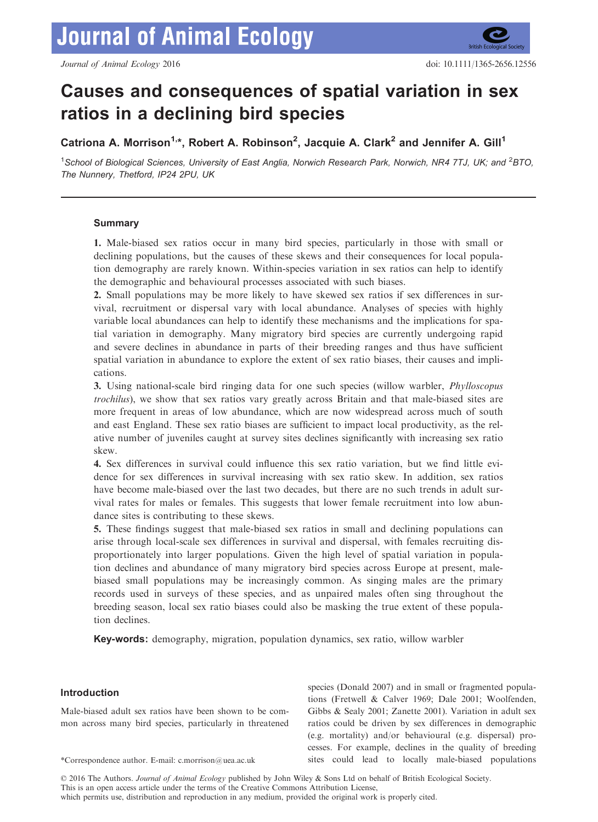

# Causes and consequences of spatial variation in sex ratios in a declining bird species

Catriona A. Morrison<sup>1,\*</sup>, Robert A. Robinson<sup>2</sup>, Jacquie A. Clark<sup>2</sup> and Jennifer A. Gill<sup>1</sup>

<sup>1</sup>School of Biological Sciences, University of East Anglia, Norwich Research Park, Norwich, NR4 7TJ, UK; and <sup>2</sup>BTO, The Nunnery, Thetford, IP24 2PU, UK

# Summary

1. Male-biased sex ratios occur in many bird species, particularly in those with small or declining populations, but the causes of these skews and their consequences for local population demography are rarely known. Within-species variation in sex ratios can help to identify the demographic and behavioural processes associated with such biases.

2. Small populations may be more likely to have skewed sex ratios if sex differences in survival, recruitment or dispersal vary with local abundance. Analyses of species with highly variable local abundances can help to identify these mechanisms and the implications for spatial variation in demography. Many migratory bird species are currently undergoing rapid and severe declines in abundance in parts of their breeding ranges and thus have sufficient spatial variation in abundance to explore the extent of sex ratio biases, their causes and implications.

3. Using national-scale bird ringing data for one such species (willow warbler, Phylloscopus trochilus), we show that sex ratios vary greatly across Britain and that male-biased sites are more frequent in areas of low abundance, which are now widespread across much of south and east England. These sex ratio biases are sufficient to impact local productivity, as the relative number of juveniles caught at survey sites declines significantly with increasing sex ratio skew.

4. Sex differences in survival could influence this sex ratio variation, but we find little evidence for sex differences in survival increasing with sex ratio skew. In addition, sex ratios have become male-biased over the last two decades, but there are no such trends in adult survival rates for males or females. This suggests that lower female recruitment into low abundance sites is contributing to these skews.

5. These findings suggest that male-biased sex ratios in small and declining populations can arise through local-scale sex differences in survival and dispersal, with females recruiting disproportionately into larger populations. Given the high level of spatial variation in population declines and abundance of many migratory bird species across Europe at present, malebiased small populations may be increasingly common. As singing males are the primary records used in surveys of these species, and as unpaired males often sing throughout the breeding season, local sex ratio biases could also be masking the true extent of these population declines.

Key-words: demography, migration, population dynamics, sex ratio, willow warbler

# Introduction

Male-biased adult sex ratios have been shown to be common across many bird species, particularly in threatened

species (Donald 2007) and in small or fragmented populations (Fretwell & Calver 1969; Dale 2001; Woolfenden, Gibbs & Sealy 2001; Zanette 2001). Variation in adult sex ratios could be driven by sex differences in demographic (e.g. mortality) and/or behavioural (e.g. dispersal) processes. For example, declines in the quality of breeding \*Correspondence author. E-mail: c.morrison@uea.ac.uk sites could lead to locally male-biased populations

© 2016 The Authors. Journal of Animal Ecology published by John Wiley & Sons Ltd on behalf of British Ecological Society.

This is an open access article under the terms of the [Creative Commons Attribution](http://creativecommons.org/licenses/by/4.0/) License,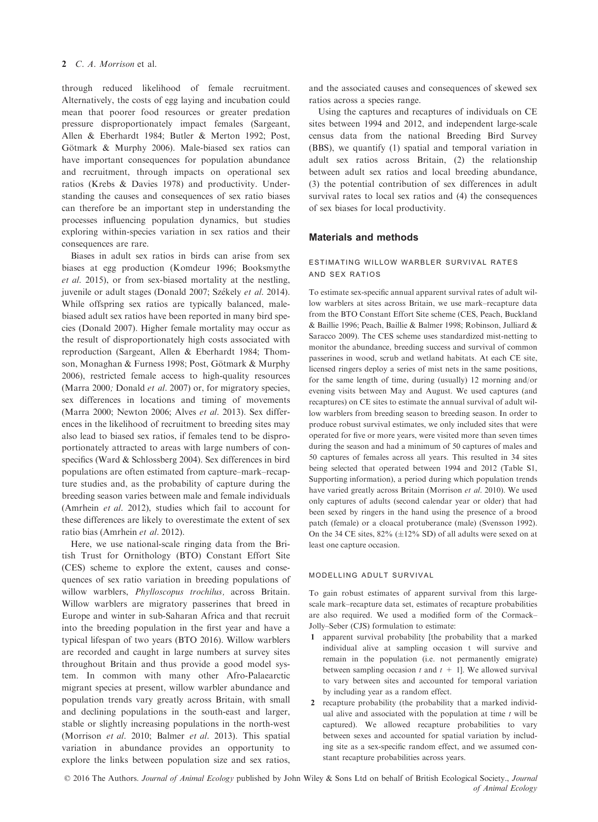through reduced likelihood of female recruitment. Alternatively, the costs of egg laying and incubation could mean that poorer food resources or greater predation pressure disproportionately impact females (Sargeant, Allen & Eberhardt 1984; Butler & Merton 1992; Post, Götmark & Murphy 2006). Male-biased sex ratios can have important consequences for population abundance and recruitment, through impacts on operational sex ratios (Krebs & Davies 1978) and productivity. Understanding the causes and consequences of sex ratio biases can therefore be an important step in understanding the processes influencing population dynamics, but studies exploring within-species variation in sex ratios and their consequences are rare.

Biases in adult sex ratios in birds can arise from sex biases at egg production (Komdeur 1996; Booksmythe et al. 2015), or from sex-biased mortality at the nestling, juvenile or adult stages (Donald 2007; Székely et al. 2014). While offspring sex ratios are typically balanced, malebiased adult sex ratios have been reported in many bird species (Donald 2007). Higher female mortality may occur as the result of disproportionately high costs associated with reproduction (Sargeant, Allen & Eberhardt 1984; Thomson, Monaghan & Furness 1998; Post, Götmark & Murphy 2006), restricted female access to high-quality resources (Marra 2000; Donald *et al.* 2007) or, for migratory species, sex differences in locations and timing of movements (Marra 2000; Newton 2006; Alves et al. 2013). Sex differences in the likelihood of recruitment to breeding sites may also lead to biased sex ratios, if females tend to be disproportionately attracted to areas with large numbers of conspecifics (Ward & Schlossberg 2004). Sex differences in bird populations are often estimated from capture–mark–recapture studies and, as the probability of capture during the breeding season varies between male and female individuals (Amrhein et al. 2012), studies which fail to account for these differences are likely to overestimate the extent of sex ratio bias (Amrhein et al. 2012).

Here, we use national-scale ringing data from the British Trust for Ornithology (BTO) Constant Effort Site (CES) scheme to explore the extent, causes and consequences of sex ratio variation in breeding populations of willow warblers, Phylloscopus trochilus, across Britain. Willow warblers are migratory passerines that breed in Europe and winter in sub-Saharan Africa and that recruit into the breeding population in the first year and have a typical lifespan of two years (BTO 2016). Willow warblers are recorded and caught in large numbers at survey sites throughout Britain and thus provide a good model system. In common with many other Afro-Palaearctic migrant species at present, willow warbler abundance and population trends vary greatly across Britain, with small and declining populations in the south-east and larger, stable or slightly increasing populations in the north-west (Morrison et al. 2010; Balmer et al. 2013). This spatial variation in abundance provides an opportunity to explore the links between population size and sex ratios,

and the associated causes and consequences of skewed sex ratios across a species range.

Using the captures and recaptures of individuals on CE sites between 1994 and 2012, and independent large-scale census data from the national Breeding Bird Survey (BBS), we quantify (1) spatial and temporal variation in adult sex ratios across Britain, (2) the relationship between adult sex ratios and local breeding abundance, (3) the potential contribution of sex differences in adult survival rates to local sex ratios and (4) the consequences of sex biases for local productivity.

## Materials and methods

# estimating willow warbler survival rates and sex ratios

To estimate sex-specific annual apparent survival rates of adult willow warblers at sites across Britain, we use mark–recapture data from the BTO Constant Effort Site scheme (CES, Peach, Buckland & Baillie 1996; Peach, Baillie & Balmer 1998; Robinson, Julliard & Saracco 2009). The CES scheme uses standardized mist-netting to monitor the abundance, breeding success and survival of common passerines in wood, scrub and wetland habitats. At each CE site, licensed ringers deploy a series of mist nets in the same positions, for the same length of time, during (usually) 12 morning and/or evening visits between May and August. We used captures (and recaptures) on CE sites to estimate the annual survival of adult willow warblers from breeding season to breeding season. In order to produce robust survival estimates, we only included sites that were operated for five or more years, were visited more than seven times during the season and had a minimum of 50 captures of males and 50 captures of females across all years. This resulted in 34 sites being selected that operated between 1994 and 2012 (Table S1, Supporting information), a period during which population trends have varied greatly across Britain (Morrison et al. 2010). We used only captures of adults (second calendar year or older) that had been sexed by ringers in the hand using the presence of a brood patch (female) or a cloacal protuberance (male) (Svensson 1992). On the 34 CE sites,  $82\%$  ( $\pm 12\%$  SD) of all adults were sexed on at least one capture occasion.

#### modelling adult survival

To gain robust estimates of apparent survival from this largescale mark–recapture data set, estimates of recapture probabilities are also required. We used a modified form of the Cormack– Jolly–Seber (CJS) formulation to estimate:

- 1 apparent survival probability [the probability that a marked individual alive at sampling occasion t will survive and remain in the population (i.e. not permanently emigrate) between sampling occasion  $t$  and  $t + 1$ ]. We allowed survival to vary between sites and accounted for temporal variation by including year as a random effect.
- 2 recapture probability (the probability that a marked individual alive and associated with the population at time  $t$  will be captured). We allowed recapture probabilities to vary between sexes and accounted for spatial variation by including site as a sex-specific random effect, and we assumed constant recapture probabilities across years.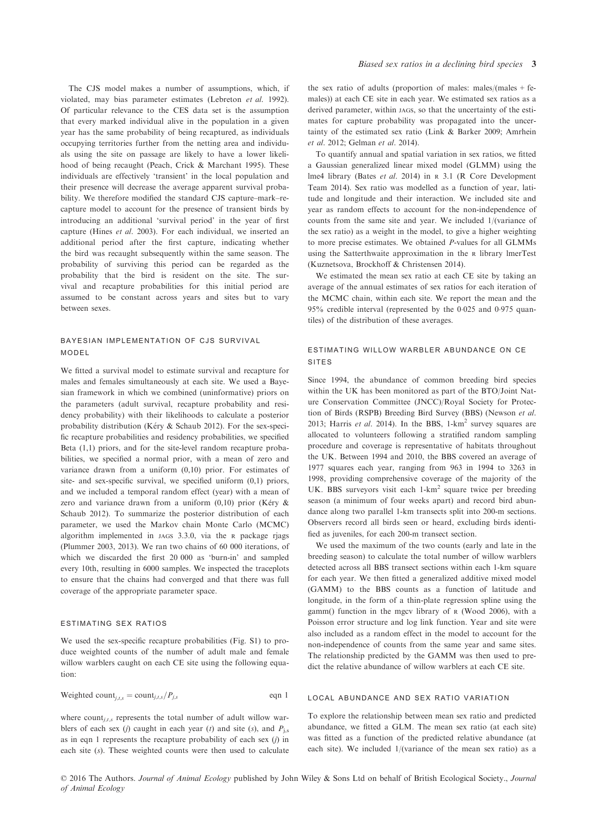The CJS model makes a number of assumptions, which, if violated, may bias parameter estimates (Lebreton et al. 1992). Of particular relevance to the CES data set is the assumption that every marked individual alive in the population in a given year has the same probability of being recaptured, as individuals occupying territories further from the netting area and individuals using the site on passage are likely to have a lower likelihood of being recaught (Peach, Crick & Marchant 1995). These individuals are effectively 'transient' in the local population and their presence will decrease the average apparent survival probability. We therefore modified the standard CJS capture–mark–recapture model to account for the presence of transient birds by introducing an additional 'survival period' in the year of first capture (Hines et al. 2003). For each individual, we inserted an additional period after the first capture, indicating whether the bird was recaught subsequently within the same season. The probability of surviving this period can be regarded as the probability that the bird is resident on the site. The survival and recapture probabilities for this initial period are assumed to be constant across years and sites but to vary between sexes.

### bayesian implementation of cjs survival model

We fitted a survival model to estimate survival and recapture for males and females simultaneously at each site. We used a Bayesian framework in which we combined (uninformative) priors on the parameters (adult survival, recapture probability and residency probability) with their likelihoods to calculate a posterior probability distribution (Kéry & Schaub 2012). For the sex-specific recapture probabilities and residency probabilities, we specified Beta (1,1) priors, and for the site-level random recapture probabilities, we specified a normal prior, with a mean of zero and variance drawn from a uniform (0,10) prior. For estimates of site- and sex-specific survival, we specified uniform (0,1) priors, and we included a temporal random effect (year) with a mean of zero and variance drawn from a uniform  $(0,10)$  prior (Kéry & Schaub 2012). To summarize the posterior distribution of each parameter, we used the Markov chain Monte Carlo (MCMC) algorithm implemented in JAGS 3.3.0, via the <sup>R</sup> package rjags (Plummer 2003, 2013). We ran two chains of 60 000 iterations, of which we discarded the first 20 000 as 'burn-in' and sampled every 10th, resulting in 6000 samples. We inspected the traceplots to ensure that the chains had converged and that there was full coverage of the appropriate parameter space.

## estimating sex ratios

We used the sex-specific recapture probabilities (Fig. S1) to produce weighted counts of the number of adult male and female willow warblers caught on each CE site using the following equation:

$$
Weighted count_{j,t,s} = count_{j,t,s} / P_{j,s}
$$
 eqn 1

where  $count_{j,t,s}$  represents the total number of adult willow warblers of each sex (j) caught in each year (t) and site (s), and  $P_{\text{i,s}}$ as in eqn 1 represents the recapture probability of each sex  $(j)$  in each site (s). These weighted counts were then used to calculate

the sex ratio of adults (proportion of males: males/(males + females)) at each CE site in each year. We estimated sex ratios as a derived parameter, within JAGS, so that the uncertainty of the estimates for capture probability was propagated into the uncertainty of the estimated sex ratio (Link & Barker 2009; Amrhein et al. 2012; Gelman et al. 2014).

To quantify annual and spatial variation in sex ratios, we fitted a Gaussian generalized linear mixed model (GLMM) using the lme4 library (Bates et al. 2014) in <sup>R</sup> 3.1 (R Core Development Team 2014). Sex ratio was modelled as a function of year, latitude and longitude and their interaction. We included site and year as random effects to account for the non-independence of counts from the same site and year. We included 1/(variance of the sex ratio) as a weight in the model, to give a higher weighting to more precise estimates. We obtained P-values for all GLMMs using the Satterthwaite approximation in the <sup>R</sup> library lmerTest (Kuznetsova, Brockhoff & Christensen 2014).

We estimated the mean sex ratio at each CE site by taking an average of the annual estimates of sex ratios for each iteration of the MCMC chain, within each site. We report the mean and the 95% credible interval (represented by the 0.025 and 0.975 quantiles) of the distribution of these averages.

#### estimating willow warbler abundance on ce **SITES**

Since 1994, the abundance of common breeding bird species within the UK has been monitored as part of the BTO/Joint Nature Conservation Committee (JNCC)/Royal Society for Protection of Birds (RSPB) Breeding Bird Survey (BBS) (Newson et al. 2013; Harris et al. 2014). In the BBS, 1- $km<sup>2</sup>$  survey squares are allocated to volunteers following a stratified random sampling procedure and coverage is representative of habitats throughout the UK. Between 1994 and 2010, the BBS covered an average of 1977 squares each year, ranging from 963 in 1994 to 3263 in 1998, providing comprehensive coverage of the majority of the UK. BBS surveyors visit each 1-km<sup>2</sup> square twice per breeding season (a minimum of four weeks apart) and record bird abundance along two parallel 1-km transects split into 200-m sections. Observers record all birds seen or heard, excluding birds identified as juveniles, for each 200-m transect section.

We used the maximum of the two counts (early and late in the breeding season) to calculate the total number of willow warblers detected across all BBS transect sections within each 1-km square for each year. We then fitted a generalized additive mixed model (GAMM) to the BBS counts as a function of latitude and longitude, in the form of a thin-plate regression spline using the gamm() function in the mgcv library of <sup>R</sup> (Wood 2006), with a Poisson error structure and log link function. Year and site were also included as a random effect in the model to account for the non-independence of counts from the same year and same sites. The relationship predicted by the GAMM was then used to predict the relative abundance of willow warblers at each CE site.

#### local abundance and sex ratio variation

To explore the relationship between mean sex ratio and predicted abundance, we fitted a GLM. The mean sex ratio (at each site) was fitted as a function of the predicted relative abundance (at each site). We included 1/(variance of the mean sex ratio) as a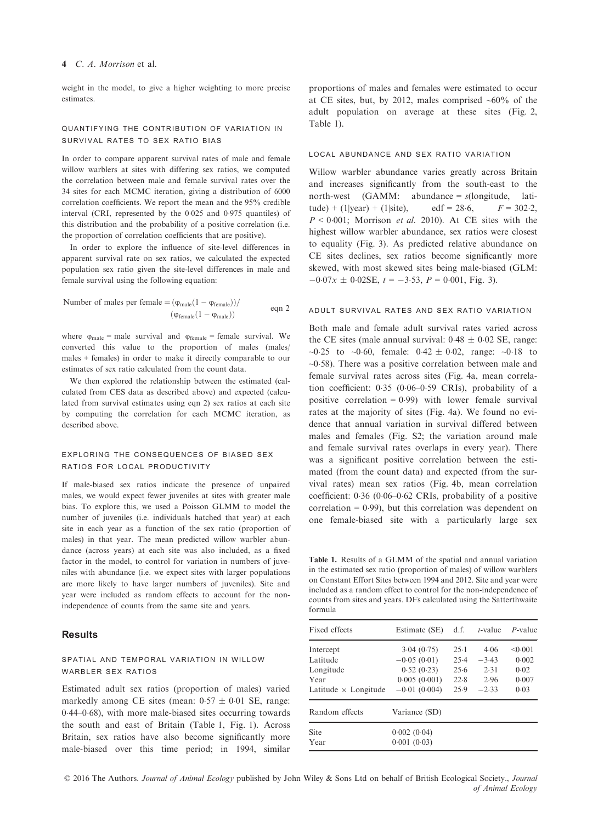weight in the model, to give a higher weighting to more precise estimates.

## quantifying the contribution of variation in survival rates to sex ratio bias

In order to compare apparent survival rates of male and female willow warblers at sites with differing sex ratios, we computed the correlation between male and female survival rates over the 34 sites for each MCMC iteration, giving a distribution of 6000 correlation coefficients. We report the mean and the 95% credible interval (CRI, represented by the  $0.025$  and  $0.975$  quantiles) of this distribution and the probability of a positive correlation (i.e. the proportion of correlation coefficients that are positive).

In order to explore the influence of site-level differences in apparent survival rate on sex ratios, we calculated the expected population sex ratio given the site-level differences in male and female survival using the following equation:

Number of males per female = 
$$
(\varphi_{male}(1 - \varphi_{female}))
$$
 eqn 2  
 $(\varphi_{female}(1 - \varphi_{male}))$  eqn 2

where  $\varphi_{male}$  = male survival and  $\varphi_{female}$  = female survival. We converted this value to the proportion of males (males/ males + females) in order to make it directly comparable to our estimates of sex ratio calculated from the count data.

We then explored the relationship between the estimated (calculated from CES data as described above) and expected (calculated from survival estimates using eqn 2) sex ratios at each site by computing the correlation for each MCMC iteration, as described above.

#### exploring the consequences of biased sex ratios for local productivity

If male-biased sex ratios indicate the presence of unpaired males, we would expect fewer juveniles at sites with greater male bias. To explore this, we used a Poisson GLMM to model the number of juveniles (i.e. individuals hatched that year) at each site in each year as a function of the sex ratio (proportion of males) in that year. The mean predicted willow warbler abundance (across years) at each site was also included, as a fixed factor in the model, to control for variation in numbers of juveniles with abundance (i.e. we expect sites with larger populations are more likely to have larger numbers of juveniles). Site and year were included as random effects to account for the nonindependence of counts from the same site and years.

## Results

# spatial and temporal variation in willow WARBLER SEX RATIOS

Estimated adult sex ratios (proportion of males) varied markedly among CE sites (mean:  $0.57 \pm 0.01$  SE, range: 044–068), with more male-biased sites occurring towards the south and east of Britain (Table 1, Fig. 1). Across Britain, sex ratios have also become significantly more male-biased over this time period; in 1994, similar

proportions of males and females were estimated to occur at CE sites, but, by 2012, males comprised  $~60\%$  of the adult population on average at these sites (Fig. 2, Table 1).

#### local abundance and sex ratio variation

Willow warbler abundance varies greatly across Britain and increases significantly from the south-east to the north-west  $(GAMM:$  abundance =  $s$ (longitude, latitude) + (1|year) + (1|site), edf = 28.6,  $F = 302.2$ ,  $P < 0.001$ ; Morrison et al. 2010). At CE sites with the highest willow warbler abundance, sex ratios were closest to equality (Fig. 3). As predicted relative abundance on CE sites declines, sex ratios become significantly more skewed, with most skewed sites being male-biased (GLM:  $-0.07x \pm 0.02$ SE,  $t = -3.53$ ,  $P = 0.001$ , Fig. 3).

#### adult survival rates and sex ratio variation

Both male and female adult survival rates varied across the CE sites (male annual survival:  $0.48 \pm 0.02$  SE, range: ~0.25 to ~0.60, female:  $0.42 \pm 0.02$ , range: ~0.18 to  $\sim$ 0.58). There was a positive correlation between male and female survival rates across sites (Fig. 4a, mean correlation coefficient:  $0.35$  ( $0.06-0.59$  CRIs), probability of a positive correlation  $= 0.99$ ) with lower female survival rates at the majority of sites (Fig. 4a). We found no evidence that annual variation in survival differed between males and females (Fig. S2; the variation around male and female survival rates overlaps in every year). There was a significant positive correlation between the estimated (from the count data) and expected (from the survival rates) mean sex ratios (Fig. 4b, mean correlation coefficient:  $0.36$  ( $0.06-0.62$  CRIs, probability of a positive correlation  $= 0.99$ ), but this correlation was dependent on one female-biased site with a particularly large sex

Table 1. Results of a GLMM of the spatial and annual variation in the estimated sex ratio (proportion of males) of willow warblers on Constant Effort Sites between 1994 and 2012. Site and year were included as a random effect to control for the non-independence of counts from sites and years. DFs calculated using the Satterthwaite formula

| Fixed effects               | Estimate (SE)               | d.f.           | $t$ -value      | $P$ -value       |
|-----------------------------|-----------------------------|----------------|-----------------|------------------|
| Intercept<br>Latitude       | 3.04(0.75)<br>$-0.05(0.01)$ | $25-1$<br>25.4 | 4.06<br>$-3.43$ | < 0.001<br>0.002 |
| Longitude<br>Year           | 0.52(0.23)<br>0.005(0.001)  | 25.6<br>22.8   | 2.31<br>2.96    | 0.02<br>0.007    |
| Latitude $\times$ Longitude | $-0.01(0.004)$              | 25.9           | $-2.33$         | 0.03             |
| Random effects              | Variance (SD)               |                |                 |                  |
| <b>Site</b><br>Year         | 0.002(0.04)<br>0.001(0.03)  |                |                 |                  |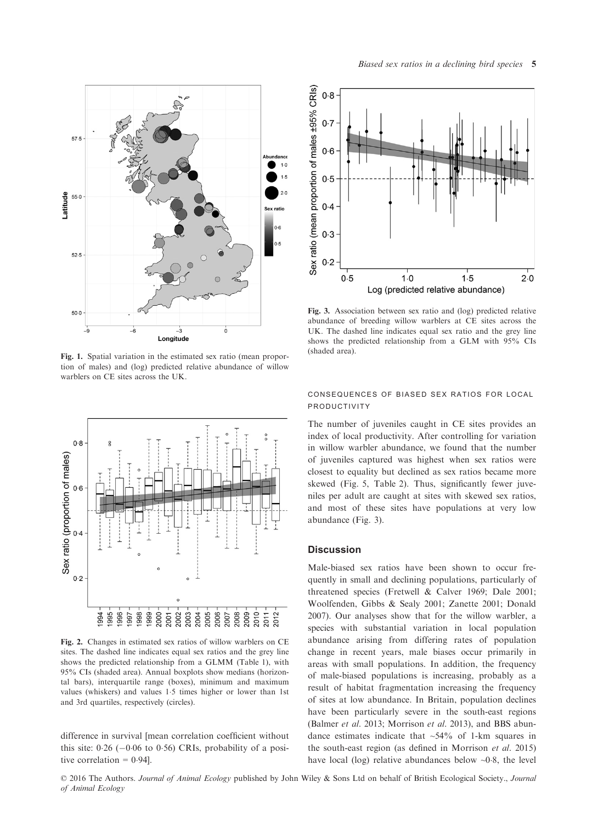

Fig. 1. Spatial variation in the estimated sex ratio (mean proportion of males) and (log) predicted relative abundance of willow warblers on CE sites across the UK.



Fig. 2. Changes in estimated sex ratios of willow warblers on CE sites. The dashed line indicates equal sex ratios and the grey line shows the predicted relationship from a GLMM (Table 1), with 95% CIs (shaded area). Annual boxplots show medians (horizontal bars), interquartile range (boxes), minimum and maximum values (whiskers) and values 1.5 times higher or lower than 1st and 3rd quartiles, respectively (circles).

difference in survival [mean correlation coefficient without this site:  $0.26$  ( $-0.06$  to 0.56) CRIs, probability of a positive correlation  $= 0.94$ ].



Fig. 3. Association between sex ratio and (log) predicted relative abundance of breeding willow warblers at CE sites across the UK. The dashed line indicates equal sex ratio and the grey line shows the predicted relationship from a GLM with 95% CIs (shaded area).

#### consequences of biased sex ratios for local productivity

The number of juveniles caught in CE sites provides an index of local productivity. After controlling for variation in willow warbler abundance, we found that the number of juveniles captured was highest when sex ratios were closest to equality but declined as sex ratios became more skewed (Fig. 5, Table 2). Thus, significantly fewer juveniles per adult are caught at sites with skewed sex ratios, and most of these sites have populations at very low abundance (Fig. 3).

#### **Discussion**

Male-biased sex ratios have been shown to occur frequently in small and declining populations, particularly of threatened species (Fretwell & Calver 1969; Dale 2001; Woolfenden, Gibbs & Sealy 2001; Zanette 2001; Donald 2007). Our analyses show that for the willow warbler, a species with substantial variation in local population abundance arising from differing rates of population change in recent years, male biases occur primarily in areas with small populations. In addition, the frequency of male-biased populations is increasing, probably as a result of habitat fragmentation increasing the frequency of sites at low abundance. In Britain, population declines have been particularly severe in the south-east regions (Balmer et al. 2013; Morrison et al. 2013), and BBS abundance estimates indicate that  $\sim$  54% of 1-km squares in the south-east region (as defined in Morrison et al. 2015) have local (log) relative abundances below  $\sim 0.8$ , the level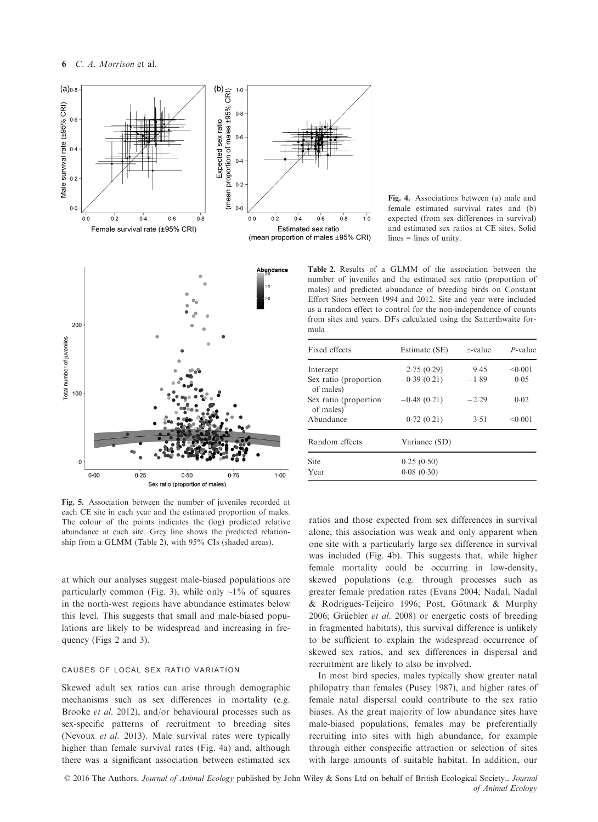



Fig. 5. Association between the number of juveniles recorded at each CE site in each year and the estimated proportion of males. The colour of the points indicates the (log) predicted relative abundance at each site. Grey line shows the predicted relationship from a GLMM (Table 2), with 95% CIs (shaded areas).

at which our analyses suggest male-biased populations are particularly common (Fig. 3), while only  $\sim$ 1% of squares in the north-west regions have abundance estimates below this level. This suggests that small and male-biased populations are likely to be widespread and increasing in frequency (Figs 2 and 3).

## causes of local sex ratio variation

Skewed adult sex ratios can arise through demographic mechanisms such as sex differences in mortality (e.g. Brooke et al. 2012), and/or behavioural processes such as sex-specific patterns of recruitment to breeding sites (Nevoux et al. 2013). Male survival rates were typically higher than female survival rates (Fig. 4a) and, although there was a significant association between estimated sex

Fig. 4. Associations between (a) male and female estimated survival rates and (b) expected (from sex differences in survival) and estimated sex ratios at CE sites. Solid lines = lines of unity.

Table 2. Results of a GLMM of the association between the number of juveniles and the estimated sex ratio (proportion of males) and predicted abundance of breeding birds on Constant Effort Sites between 1994 and 2012. Site and year were included as a random effect to control for the non-independence of counts from sites and years. DFs calculated using the Satterthwaite formula

| Fixed effects                           | Estimate (SE) | $z$ -value | $P$ -value |  |
|-----------------------------------------|---------------|------------|------------|--|
| Intercept                               | 2.75(0.29)    | 9.45       | < 0.001    |  |
| Sex ratio (proportion<br>of males)      | $-0.39(0.21)$ | $-1.89$    | 0.05       |  |
| Sex ratio (proportion<br>of males $)^2$ | $-0.48(0.21)$ | $-2.29$    | 0.02       |  |
| Abundance                               | 0.72(0.21)    | 3.51       | < 0.001    |  |
| Random effects                          | Variance (SD) |            |            |  |
| Site                                    | 0.25(0.50)    |            |            |  |
| Year                                    | 0.08(0.30)    |            |            |  |

ratios and those expected from sex differences in survival alone, this association was weak and only apparent when one site with a particularly large sex difference in survival was included (Fig. 4b). This suggests that, while higher female mortality could be occurring in low-density, skewed populations (e.g. through processes such as greater female predation rates (Evans 2004; Nadal, Nadal & Rodrigues-Teijeiro 1996; Post, Götmark & Murphy 2006; Grüebler et al. 2008) or energetic costs of breeding in fragmented habitats), this survival difference is unlikely to be sufficient to explain the widespread occurrence of skewed sex ratios, and sex differences in dispersal and recruitment are likely to also be involved.

In most bird species, males typically show greater natal philopatry than females (Pusey 1987), and higher rates of female natal dispersal could contribute to the sex ratio biases. As the great majority of low abundance sites have male-biased populations, females may be preferentially recruiting into sites with high abundance, for example through either conspecific attraction or selection of sites with large amounts of suitable habitat. In addition, our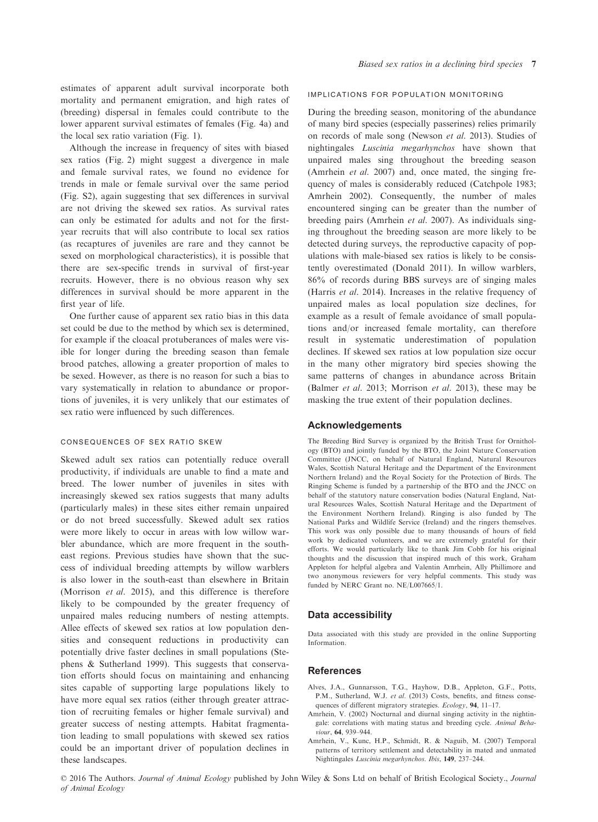estimates of apparent adult survival incorporate both mortality and permanent emigration, and high rates of (breeding) dispersal in females could contribute to the lower apparent survival estimates of females (Fig. 4a) and the local sex ratio variation (Fig. 1).

Although the increase in frequency of sites with biased sex ratios (Fig. 2) might suggest a divergence in male and female survival rates, we found no evidence for trends in male or female survival over the same period (Fig. S2), again suggesting that sex differences in survival are not driving the skewed sex ratios. As survival rates can only be estimated for adults and not for the firstyear recruits that will also contribute to local sex ratios (as recaptures of juveniles are rare and they cannot be sexed on morphological characteristics), it is possible that there are sex-specific trends in survival of first-year recruits. However, there is no obvious reason why sex differences in survival should be more apparent in the first year of life.

One further cause of apparent sex ratio bias in this data set could be due to the method by which sex is determined, for example if the cloacal protuberances of males were visible for longer during the breeding season than female brood patches, allowing a greater proportion of males to be sexed. However, as there is no reason for such a bias to vary systematically in relation to abundance or proportions of juveniles, it is very unlikely that our estimates of sex ratio were influenced by such differences.

#### consequences of sex ratio skew

Skewed adult sex ratios can potentially reduce overall productivity, if individuals are unable to find a mate and breed. The lower number of juveniles in sites with increasingly skewed sex ratios suggests that many adults (particularly males) in these sites either remain unpaired or do not breed successfully. Skewed adult sex ratios were more likely to occur in areas with low willow warbler abundance, which are more frequent in the southeast regions. Previous studies have shown that the success of individual breeding attempts by willow warblers is also lower in the south-east than elsewhere in Britain (Morrison et al. 2015), and this difference is therefore likely to be compounded by the greater frequency of unpaired males reducing numbers of nesting attempts. Allee effects of skewed sex ratios at low population densities and consequent reductions in productivity can potentially drive faster declines in small populations (Stephens & Sutherland 1999). This suggests that conservation efforts should focus on maintaining and enhancing sites capable of supporting large populations likely to have more equal sex ratios (either through greater attraction of recruiting females or higher female survival) and greater success of nesting attempts. Habitat fragmentation leading to small populations with skewed sex ratios could be an important driver of population declines in these landscapes.

#### implications for population monitoring

During the breeding season, monitoring of the abundance of many bird species (especially passerines) relies primarily on records of male song (Newson et al. 2013). Studies of nightingales Luscinia megarhynchos have shown that unpaired males sing throughout the breeding season (Amrhein et al. 2007) and, once mated, the singing frequency of males is considerably reduced (Catchpole 1983; Amrhein 2002). Consequently, the number of males encountered singing can be greater than the number of breeding pairs (Amrhein et al. 2007). As individuals singing throughout the breeding season are more likely to be detected during surveys, the reproductive capacity of populations with male-biased sex ratios is likely to be consistently overestimated (Donald 2011). In willow warblers, 86% of records during BBS surveys are of singing males (Harris et al. 2014). Increases in the relative frequency of unpaired males as local population size declines, for example as a result of female avoidance of small populations and/or increased female mortality, can therefore result in systematic underestimation of population declines. If skewed sex ratios at low population size occur in the many other migratory bird species showing the same patterns of changes in abundance across Britain (Balmer et al. 2013; Morrison et al. 2013), these may be masking the true extent of their population declines.

#### Acknowledgements

The Breeding Bird Survey is organized by the British Trust for Ornithology (BTO) and jointly funded by the BTO, the Joint Nature Conservation Committee (JNCC, on behalf of Natural England, Natural Resources Wales, Scottish Natural Heritage and the Department of the Environment Northern Ireland) and the Royal Society for the Protection of Birds. The Ringing Scheme is funded by a partnership of the BTO and the JNCC on behalf of the statutory nature conservation bodies (Natural England, Natural Resources Wales, Scottish Natural Heritage and the Department of the Environment Northern Ireland). Ringing is also funded by The National Parks and Wildlife Service (Ireland) and the ringers themselves. This work was only possible due to many thousands of hours of field work by dedicated volunteers, and we are extremely grateful for their efforts. We would particularly like to thank Jim Cobb for his original thoughts and the discussion that inspired much of this work, Graham Appleton for helpful algebra and Valentin Amrhein, Ally Phillimore and two anonymous reviewers for very helpful comments. This study was funded by NERC Grant no. NE/L007665/1.

# Data accessibility

Data associated with this study are provided in the online Supporting Information.

#### References

- Alves, J.A., Gunnarsson, T.G., Hayhow, D.B., Appleton, G.F., Potts, P.M., Sutherland, W.J. et al. (2013) Costs, benefits, and fitness consequences of different migratory strategies. Ecology, 94, 11–17.
- Amrhein, V. (2002) Nocturnal and diurnal singing activity in the nightingale: correlations with mating status and breeding cycle. Animal Behaviour, 64, 939–944.
- Amrhein, V., Kunc, H.P., Schmidt, R. & Naguib, M. (2007) Temporal patterns of territory settlement and detectability in mated and unmated Nightingales Luscinia megarhynchos. Ibis, 149, 237–244.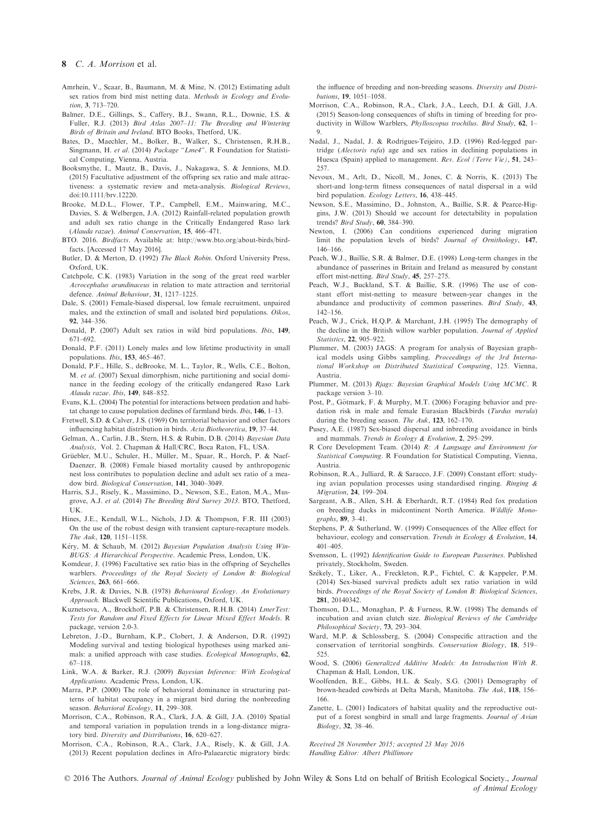#### 8 C. A. Morrison et al.

- Amrhein, V., Scaar, B., Baumann, M. & Mine, N. (2012) Estimating adult sex ratios from bird mist netting data. Methods in Ecology and Evolution, 3, 713-720
- Balmer, D.E., Gillings, S., Caffery, B.J., Swann, R.L., Downie, I.S. & Fuller, R.J. (2013) Bird Atlas 2007–11: The Breeding and Wintering Birds of Britain and Ireland. BTO Books, Thetford, UK.
- Bates, D., Maechler, M., Bolker, B., Walker, S., Christensen, R.H.B., Singmann, H. et al. (2014) Package "Lme4". R Foundation for Statistical Computing, Vienna, Austria.
- Booksmythe, I., Mautz, B., Davis, J., Nakagawa, S. & Jennions, M.D. (2015) Facultative adjustment of the offspring sex ratio and male attractiveness: a systematic review and meta-analysis. Biological Reviews, doi:[10.1111/brv.12220](http://dx.doi.org/10.1111/brv.12220).
- Brooke, M.D.L., Flower, T.P., Campbell, E.M., Mainwaring, M.C., Davies, S. & Welbergen, J.A. (2012) Rainfall-related population growth and adult sex ratio change in the Critically Endangered Raso lark (Alauda razae). Animal Conservation, 15, 466–471.
- BTO. 2016. Birdfacts. Available at: [http://www.bto.org/about-birds/bird](http://www.bto.org/about-birds/birdfacts)[facts](http://www.bto.org/about-birds/birdfacts). [Accessed 17 May 2016].
- Butler, D. & Merton, D. (1992) The Black Robin. Oxford University Press, Oxford, UK.
- Catchpole, C.K. (1983) Variation in the song of the great reed warbler Acrocephalus arundinaceus in relation to mate attraction and territorial defence. Animal Behaviour, 31, 1217–1225.
- Dale, S. (2001) Female-biased dispersal, low female recruitment, unpaired males, and the extinction of small and isolated bird populations. Oikos, 92, 344–356.
- Donald, P. (2007) Adult sex ratios in wild bird populations. Ibis, 149, 671–692.
- Donald, P.F. (2011) Lonely males and low lifetime productivity in small populations. Ibis, 153, 465–467.
- Donald, P.F., Hille, S., deBrooke, M. L., Taylor, R., Wells, C.E., Bolton, M. et al. (2007) Sexual dimorphism, niche partitioning and social dominance in the feeding ecology of the critically endangered Raso Lark Alauda razae. Ibis, 149, 848–852.
- Evans, K.L. (2004) The potential for interactions between predation and habitat change to cause population declines of farmland birds. Ibis, 146, 1–13.

Fretwell, S.D. & Calver, J.S. (1969) On territorial behavior and other factors influencing habitat distribution in birds. Acta Biotheoretica, 19, 37–44.

- Gelman, A., Carlin, J.B., Stern, H.S. & Rubin, D.B. (2014) Bayesian Data Analysis, Vol. 2. Chapman & Hall/CRC, Boca Raton, FL, USA.
- Grüebler, M.U., Schuler, H., Müller, M., Spaar, R., Horch, P. & Naef-Daenzer, B. (2008) Female biased mortality caused by anthropogenic nest loss contributes to population decline and adult sex ratio of a meadow bird. Biological Conservation, 141, 3040–3049.
- Harris, S.J., Risely, K., Massimino, D., Newson, S.E., Eaton, M.A., Musgrove, A.J. et al. (2014) The Breeding Bird Survey 2013. BTO, Thetford, UK.
- Hines, J.E., Kendall, W.L., Nichols, J.D. & Thompson, F.R. III (2003) On the use of the robust design with transient capture-recapture models. The Auk, 120, 1151–1158.
- Kéry, M. & Schaub, M. (2012) Bayesian Population Analysis Using Win-BUGS: A Hierarchical Perspective. Academic Press, London, UK.
- Komdeur, J. (1996) Facultative sex ratio bias in the offspring of Seychelles warblers. Proceedings of the Royal Society of London B: Biological Sciences, 263, 661–666.
- Krebs, J.R. & Davies, N.B. (1978) Behavioural Ecology. An Evolutionary Approach. Blackwell Scientific Publications, Oxford, UK.
- Kuznetsova, A., Brockhoff, P.B. & Christensen, R.H.B. (2014) LmerTest: Tests for Random and Fixed Effects for Linear Mixed Effect Models. R package, version 2.0-3.
- Lebreton, J.-D., Burnham, K.P., Clobert, J. & Anderson, D.R. (1992) Modeling survival and testing biological hypotheses using marked animals: a unified approach with case studies. Ecological Monographs, 62, 67–118.
- Link, W.A. & Barker, R.J. (2009) Bayesian Inference: With Ecological Applications. Academic Press, London, UK.
- Marra, P.P. (2000) The role of behavioral dominance in structuring patterns of habitat occupancy in a migrant bird during the nonbreeding season. Behavioral Ecology, 11, 299–308.
- Morrison, C.A., Robinson, R.A., Clark, J.A. & Gill, J.A. (2010) Spatial and temporal variation in population trends in a long-distance migratory bird. Diversity and Distributions, 16, 620–627.
- Morrison, C.A., Robinson, R.A., Clark, J.A., Risely, K. & Gill, J.A. (2013) Recent population declines in Afro-Palaearctic migratory birds:

the influence of breeding and non-breeding seasons. Diversity and Distributions, 19, 1051–1058.

- Morrison, C.A., Robinson, R.A., Clark, J.A., Leech, D.I. & Gill, J.A. (2015) Season-long consequences of shifts in timing of breeding for productivity in Willow Warblers, Phylloscopus trochilus. Bird Study, 62, 1– 9.
- Nadal, J., Nadal, J. & Rodrigues-Teijeiro, J.D. (1996) Red-legged partridge (Alectoris rufa) age and sex ratios in declining populations in Huesca (Spain) applied to management. Rev. Ecol (Terre Vie), 51, 243– 257.
- Nevoux, M., Arlt, D., Nicoll, M., Jones, C. & Norris, K. (2013) The short-and long-term fitness consequences of natal dispersal in a wild bird population. Ecology Letters, 16, 438–445.
- Newson, S.E., Massimino, D., Johnston, A., Baillie, S.R. & Pearce-Higgins, J.W. (2013) Should we account for detectability in population trends? Bird Study, 60, 384–390.
- Newton, I. (2006) Can conditions experienced during migration limit the population levels of birds? Journal of Ornithology, 147, 146–166.
- Peach, W.J., Baillie, S.R. & Balmer, D.E. (1998) Long-term changes in the abundance of passerines in Britain and Ireland as measured by constant effort mist-netting. Bird Study, 45, 257–275.
- Peach, W.J., Buckland, S.T. & Baillie, S.R. (1996) The use of constant effort mist-netting to measure between-year changes in the abundance and productivity of common passerines. Bird Study, 43, 142–156.
- Peach, W.J., Crick, H.Q.P. & Marchant, J.H. (1995) The demography of the decline in the British willow warbler population. Journal of Applied Statistics, 22, 905–922.
- Plummer, M. (2003) JAGS: A program for analysis of Bayesian graphical models using Gibbs sampling. Proceedings of the 3rd International Workshop on Distributed Statistical Computing, 125. Vienna, Austria.
- Plummer, M. (2013) Rjags: Bayesian Graphical Models Using MCMC. R package version 3–10.
- Post, P., Götmark, F. & Murphy, M.T. (2006) Foraging behavior and predation risk in male and female Eurasian Blackbirds (Turdus merula) during the breeding season. The Auk, 123, 162–170.
- Pusey, A.E. (1987) Sex-biased dispersal and inbreeding avoidance in birds and mammals. Trends in Ecology & Evolution, 2, 295–299.
- R Core Development Team. (2014) R: A Language and Environment for Statistical Computing. R Foundation for Statistical Computing, Vienna, Austria.
- Robinson, R.A., Julliard, R. & Saracco, J.F. (2009) Constant effort: studying avian population processes using standardised ringing. Ringing & Migration, 24, 199–204.
- Sargeant, A.B., Allen, S.H. & Eberhardt, R.T. (1984) Red fox predation on breeding ducks in midcontinent North America. Wildlife Monographs, 89, 3–41.
- Stephens, P. & Sutherland, W. (1999) Consequences of the Allee effect for behaviour, ecology and conservation. Trends in Ecology & Evolution, 14, 401–405.
- Svensson, L. (1992) Identification Guide to European Passerines. Published privately, Stockholm, Sweden.
- Székely, T., Liker, A., Freckleton, R.P., Fichtel, C. & Kappeler, P.M. (2014) Sex-biased survival predicts adult sex ratio variation in wild birds. Proceedings of the Royal Society of London B: Biological Sciences, 281, 20140342.
- Thomson, D.L., Monaghan, P. & Furness, R.W. (1998) The demands of incubation and avian clutch size. Biological Reviews of the Cambridge Philosophical Society, 73, 293–304.
- Ward, M.P. & Schlossberg, S. (2004) Conspecific attraction and the conservation of territorial songbirds. Conservation Biology, 18, 519– 525.
- Wood, S. (2006) Generalized Additive Models: An Introduction With R. Chapman & Hall, London, UK.
- Woolfenden, B.E., Gibbs, H.L. & Sealy, S.G. (2001) Demography of brown-headed cowbirds at Delta Marsh, Manitoba. The Auk, 118, 156– 166.
- Zanette, L. (2001) Indicators of habitat quality and the reproductive output of a forest songbird in small and large fragments. Journal of Avian Biology, 32, 38–46.

Received 28 November 2015; accepted 23 May 2016 Handling Editor: Albert Phillimore